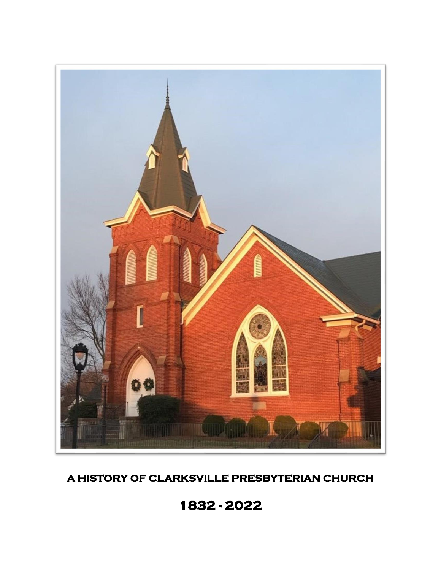

# **A HISTORY OF CLARKSVILLE PRESBYTERIAN CHURCH**

**1832 - 2022**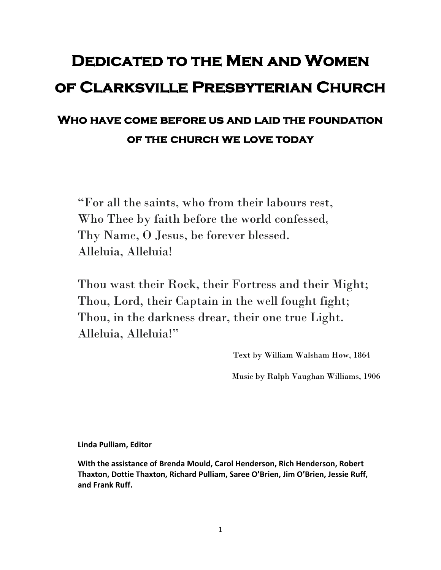# **Dedicated to the Men and Women of Clarksville Presbyterian Church**

# **Who have come before us and laid the foundation of the church we love today**

"For all the saints, who from their labours rest, Who Thee by faith before the world confessed, Thy Name, O Jesus, be forever blessed. Alleluia, Alleluia!

Thou wast their Rock, their Fortress and their Might; Thou, Lord, their Captain in the well fought fight; Thou, in the darkness drear, their one true Light. Alleluia, Alleluia!"

Text by William Walsham How, 1864

Music by Ralph Vaughan Williams, 1906

**Linda Pulliam, Editor**

**With the assistance of Brenda Mould, Carol Henderson, Rich Henderson, Robert Thaxton, Dottie Thaxton, Richard Pulliam, Saree O'Brien, Jim O'Brien, Jessie Ruff, and Frank Ruff.**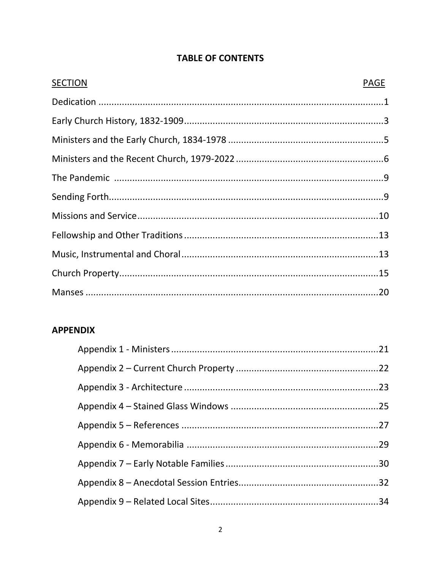# **TABLE OF CONTENTS**

| <b>SECTION</b> | PAGE |
|----------------|------|
|                |      |
|                |      |
|                |      |
|                |      |
|                |      |
|                |      |
|                |      |
|                |      |
|                |      |
|                |      |
|                |      |

# **APPENDIX**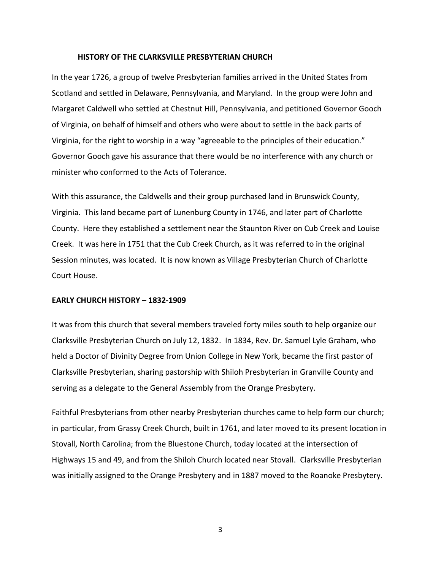#### **HISTORY OF THE CLARKSVILLE PRESBYTERIAN CHURCH**

In the year 1726, a group of twelve Presbyterian families arrived in the United States from Scotland and settled in Delaware, Pennsylvania, and Maryland. In the group were John and Margaret Caldwell who settled at Chestnut Hill, Pennsylvania, and petitioned Governor Gooch of Virginia, on behalf of himself and others who were about to settle in the back parts of Virginia, for the right to worship in a way "agreeable to the principles of their education." Governor Gooch gave his assurance that there would be no interference with any church or minister who conformed to the Acts of Tolerance.

With this assurance, the Caldwells and their group purchased land in Brunswick County, Virginia. This land became part of Lunenburg County in 1746, and later part of Charlotte County. Here they established a settlement near the Staunton River on Cub Creek and Louise Creek. It was here in 1751 that the Cub Creek Church, as it was referred to in the original Session minutes, was located. It is now known as Village Presbyterian Church of Charlotte Court House.

#### **EARLY CHURCH HISTORY – 1832-1909**

It was from this church that several members traveled forty miles south to help organize our Clarksville Presbyterian Church on July 12, 1832. In 1834, Rev. Dr. Samuel Lyle Graham, who held a Doctor of Divinity Degree from Union College in New York, became the first pastor of Clarksville Presbyterian, sharing pastorship with Shiloh Presbyterian in Granville County and serving as a delegate to the General Assembly from the Orange Presbytery.

Faithful Presbyterians from other nearby Presbyterian churches came to help form our church; in particular, from Grassy Creek Church, built in 1761, and later moved to its present location in Stovall, North Carolina; from the Bluestone Church, today located at the intersection of Highways 15 and 49, and from the Shiloh Church located near Stovall. Clarksville Presbyterian was initially assigned to the Orange Presbytery and in 1887 moved to the Roanoke Presbytery.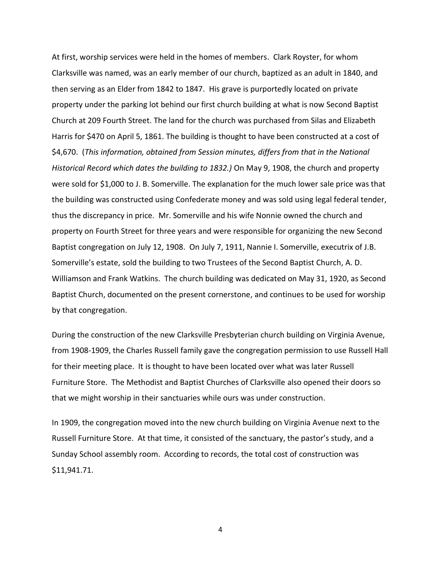At first, worship services were held in the homes of members. Clark Royster, for whom Clarksville was named, was an early member of our church, baptized as an adult in 1840, and then serving as an Elder from 1842 to 1847. His grave is purportedly located on private property under the parking lot behind our first church building at what is now Second Baptist Church at 209 Fourth Street. The land for the church was purchased from Silas and Elizabeth Harris for \$470 on April 5, 1861. The building is thought to have been constructed at a cost of \$4,670. (*This information, obtained from Session minutes, differs from that in the National Historical Record which dates the building to 1832.)* On May 9, 1908, the church and property were sold for \$1,000 to J. B. Somerville. The explanation for the much lower sale price was that the building was constructed using Confederate money and was sold using legal federal tender, thus the discrepancy in price. Mr. Somerville and his wife Nonnie owned the church and property on Fourth Street for three years and were responsible for organizing the new Second Baptist congregation on July 12, 1908. On July 7, 1911, Nannie I. Somerville, executrix of J.B. Somerville's estate, sold the building to two Trustees of the Second Baptist Church, A. D. Williamson and Frank Watkins. The church building was dedicated on May 31, 1920, as Second Baptist Church, documented on the present cornerstone, and continues to be used for worship by that congregation.

During the construction of the new Clarksville Presbyterian church building on Virginia Avenue, from 1908-1909, the Charles Russell family gave the congregation permission to use Russell Hall for their meeting place. It is thought to have been located over what was later Russell Furniture Store. The Methodist and Baptist Churches of Clarksville also opened their doors so that we might worship in their sanctuaries while ours was under construction.

In 1909, the congregation moved into the new church building on Virginia Avenue next to the Russell Furniture Store. At that time, it consisted of the sanctuary, the pastor's study, and a Sunday School assembly room. According to records, the total cost of construction was \$11,941.71.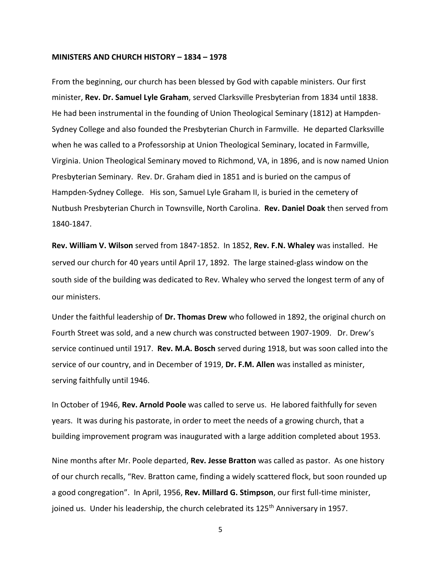#### **MINISTERS AND CHURCH HISTORY – 1834 – 1978**

From the beginning, our church has been blessed by God with capable ministers. Our first minister, **Rev. Dr. Samuel Lyle Graham**, served Clarksville Presbyterian from 1834 until 1838. He had been instrumental in the founding of Union Theological Seminary (1812) at Hampden-Sydney College and also founded the Presbyterian Church in Farmville. He departed Clarksville when he was called to a Professorship at Union Theological Seminary, located in Farmville, Virginia. Union Theological Seminary moved to Richmond, VA, in 1896, and is now named Union Presbyterian Seminary. Rev. Dr. Graham died in 1851 and is buried on the campus of Hampden-Sydney College. His son, Samuel Lyle Graham II, is buried in the cemetery of Nutbush Presbyterian Church in Townsville, North Carolina. **Rev. Daniel Doak** then served from 1840-1847.

**Rev. William V. Wilson** served from 1847-1852. In 1852, **Rev. F.N. Whaley** was installed. He served our church for 40 years until April 17, 1892. The large stained-glass window on the south side of the building was dedicated to Rev. Whaley who served the longest term of any of our ministers.

Under the faithful leadership of **Dr. Thomas Drew** who followed in 1892, the original church on Fourth Street was sold, and a new church was constructed between 1907-1909. Dr. Drew's service continued until 1917. **Rev. M.A. Bosch** served during 1918, but was soon called into the service of our country, and in December of 1919, **Dr. F.M. Allen** was installed as minister, serving faithfully until 1946.

In October of 1946, **Rev. Arnold Poole** was called to serve us. He labored faithfully for seven years. It was during his pastorate, in order to meet the needs of a growing church, that a building improvement program was inaugurated with a large addition completed about 1953.

Nine months after Mr. Poole departed, **Rev. Jesse Bratton** was called as pastor. As one history of our church recalls, "Rev. Bratton came, finding a widely scattered flock, but soon rounded up a good congregation". In April, 1956, **Rev. Millard G. Stimpson**, our first full-time minister, joined us. Under his leadership, the church celebrated its 125<sup>th</sup> Anniversary in 1957.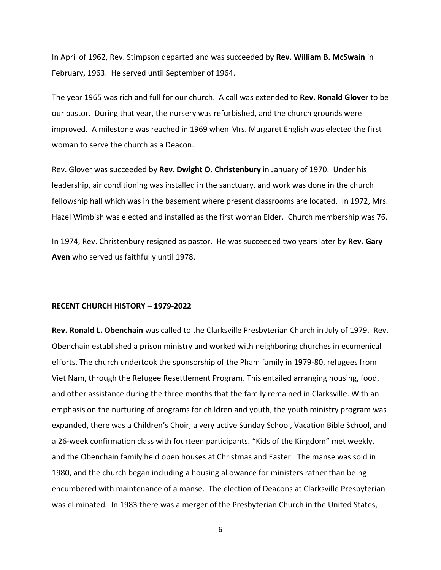In April of 1962, Rev. Stimpson departed and was succeeded by **Rev. William B. McSwain** in February, 1963. He served until September of 1964.

The year 1965 was rich and full for our church. A call was extended to **Rev. Ronald Glover** to be our pastor. During that year, the nursery was refurbished, and the church grounds were improved. A milestone was reached in 1969 when Mrs. Margaret English was elected the first woman to serve the church as a Deacon.

Rev. Glover was succeeded by **Rev**. **Dwight O. Christenbury** in January of 1970. Under his leadership, air conditioning was installed in the sanctuary, and work was done in the church fellowship hall which was in the basement where present classrooms are located. In 1972, Mrs. Hazel Wimbish was elected and installed as the first woman Elder. Church membership was 76.

In 1974, Rev. Christenbury resigned as pastor. He was succeeded two years later by **Rev. Gary Aven** who served us faithfully until 1978.

#### **RECENT CHURCH HISTORY – 1979-2022**

**Rev. Ronald L. Obenchain** was called to the Clarksville Presbyterian Church in July of 1979. Rev. Obenchain established a prison ministry and worked with neighboring churches in ecumenical efforts. The church undertook the sponsorship of the Pham family in 1979-80, refugees from Viet Nam, through the Refugee Resettlement Program. This entailed arranging housing, food, and other assistance during the three months that the family remained in Clarksville. With an emphasis on the nurturing of programs for children and youth, the youth ministry program was expanded, there was a Children's Choir, a very active Sunday School, Vacation Bible School, and a 26-week confirmation class with fourteen participants. "Kids of the Kingdom" met weekly, and the Obenchain family held open houses at Christmas and Easter. The manse was sold in 1980, and the church began including a housing allowance for ministers rather than being encumbered with maintenance of a manse. The election of Deacons at Clarksville Presbyterian was eliminated. In 1983 there was a merger of the [Presbyterian Church](https://en.wikipedia.org/wiki/Presbyterian_Church_in_the_United_States) in the United States,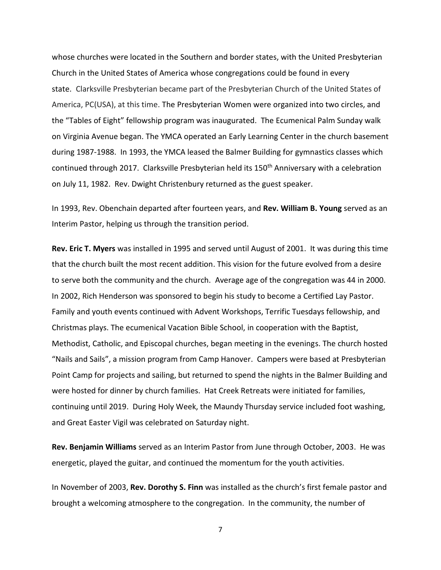whose churches were located in the [Southern](https://en.wikipedia.org/wiki/Southern_United_States) and [border states,](https://en.wikipedia.org/wiki/Border_states_(American_Civil_War)) with the [United Presbyterian](https://en.wikipedia.org/wiki/United_Presbyterian_Church_in_the_United_States_of_America)  [Church in the United States of America](https://en.wikipedia.org/wiki/United_Presbyterian_Church_in_the_United_States_of_America) whose [congregations](https://en.wikipedia.org/wiki/Church_(congregation)) could be found in every state. Clarksville Presbyterian became part of the Presbyterian Church of the United States of America, PC(USA), at this time. The Presbyterian Women were organized into two circles, and the "Tables of Eight" fellowship program was inaugurated. The Ecumenical Palm Sunday walk on Virginia Avenue began. The YMCA operated an Early Learning Center in the church basement during 1987-1988. In 1993, the YMCA leased the Balmer Building for gymnastics classes which continued through 2017. Clarksville Presbyterian held its 150<sup>th</sup> Anniversary with a celebration on July 11, 1982. Rev. Dwight Christenbury returned as the guest speaker.

In 1993, Rev. Obenchain departed after fourteen years, and **Rev. William B. Young** served as an Interim Pastor, helping us through the transition period.

**Rev. Eric T. Myers** was installed in 1995 and served until August of 2001. It was during this time that the church built the most recent addition. This vision for the future evolved from a desire to serve both the community and the church. Average age of the congregation was 44 in 2000. In 2002, Rich Henderson was sponsored to begin his study to become a Certified Lay Pastor. Family and youth events continued with Advent Workshops, Terrific Tuesdays fellowship, and Christmas plays. The ecumenical Vacation Bible School, in cooperation with the Baptist, Methodist, Catholic, and Episcopal churches, began meeting in the evenings. The church hosted "Nails and Sails", a mission program from Camp Hanover. Campers were based at Presbyterian Point Camp for projects and sailing, but returned to spend the nights in the Balmer Building and were hosted for dinner by church families. Hat Creek Retreats were initiated for families, continuing until 2019. During Holy Week, the Maundy Thursday service included foot washing, and Great Easter Vigil was celebrated on Saturday night.

**Rev. Benjamin Williams** served as an Interim Pastor from June through October, 2003. He was energetic, played the guitar, and continued the momentum for the youth activities.

In November of 2003, **Rev. Dorothy S. Finn** was installed as the church's first female pastor and brought a welcoming atmosphere to the congregation. In the community, the number of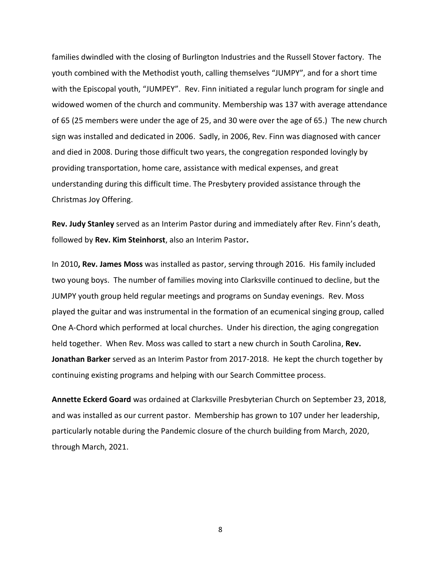families dwindled with the closing of Burlington Industries and the Russell Stover factory. The youth combined with the Methodist youth, calling themselves "JUMPY", and for a short time with the Episcopal youth, "JUMPEY". Rev. Finn initiated a regular lunch program for single and widowed women of the church and community. Membership was 137 with average attendance of 65 (25 members were under the age of 25, and 30 were over the age of 65.) The new church sign was installed and dedicated in 2006. Sadly, in 2006, Rev. Finn was diagnosed with cancer and died in 2008. During those difficult two years, the congregation responded lovingly by providing transportation, home care, assistance with medical expenses, and great understanding during this difficult time. The Presbytery provided assistance through the Christmas Joy Offering.

**Rev. Judy Stanley** served as an Interim Pastor during and immediately after Rev. Finn's death, followed by **Rev. Kim Steinhorst**, also an Interim Pastor**.** 

In 2010**, Rev. James Moss** was installed as pastor, serving through 2016. His family included two young boys. The number of families moving into Clarksville continued to decline, but the JUMPY youth group held regular meetings and programs on Sunday evenings. Rev. Moss played the guitar and was instrumental in the formation of an ecumenical singing group, called One A-Chord which performed at local churches. Under his direction, the aging congregation held together. When Rev. Moss was called to start a new church in South Carolina, **Rev. Jonathan Barker** served as an Interim Pastor from 2017-2018. He kept the church together by continuing existing programs and helping with our Search Committee process.

**Annette Eckerd Goard** was ordained at Clarksville Presbyterian Church on September 23, 2018, and was installed as our current pastor. Membership has grown to 107 under her leadership, particularly notable during the Pandemic closure of the church building from March, 2020, through March, 2021.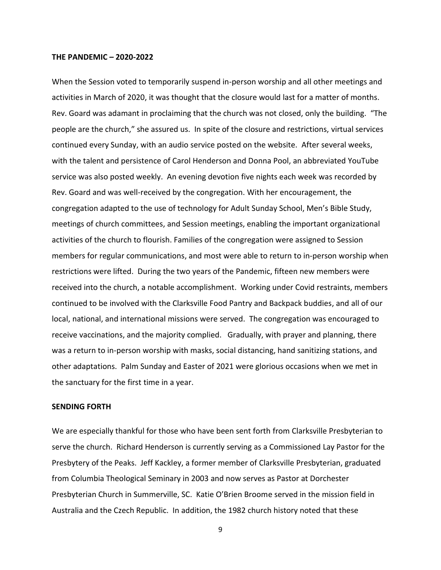#### **THE PANDEMIC – 2020-2022**

When the Session voted to temporarily suspend in-person worship and all other meetings and activities in March of 2020, it was thought that the closure would last for a matter of months. Rev. Goard was adamant in proclaiming that the church was not closed, only the building. "The people are the church," she assured us. In spite of the closure and restrictions, virtual services continued every Sunday, with an audio service posted on the website. After several weeks, with the talent and persistence of Carol Henderson and Donna Pool, an abbreviated YouTube service was also posted weekly. An evening devotion five nights each week was recorded by Rev. Goard and was well-received by the congregation. With her encouragement, the congregation adapted to the use of technology for Adult Sunday School, Men's Bible Study, meetings of church committees, and Session meetings, enabling the important organizational activities of the church to flourish. Families of the congregation were assigned to Session members for regular communications, and most were able to return to in-person worship when restrictions were lifted. During the two years of the Pandemic, fifteen new members were received into the church, a notable accomplishment. Working under Covid restraints, members continued to be involved with the Clarksville Food Pantry and Backpack buddies, and all of our local, national, and international missions were served. The congregation was encouraged to receive vaccinations, and the majority complied. Gradually, with prayer and planning, there was a return to in-person worship with masks, social distancing, hand sanitizing stations, and other adaptations. Palm Sunday and Easter of 2021 were glorious occasions when we met in the sanctuary for the first time in a year.

#### **SENDING FORTH**

We are especially thankful for those who have been sent forth from Clarksville Presbyterian to serve the church. Richard Henderson is currently serving as a Commissioned Lay Pastor for the Presbytery of the Peaks. Jeff Kackley, a former member of Clarksville Presbyterian, graduated from Columbia Theological Seminary in 2003 and now serves as Pastor at Dorchester Presbyterian Church in Summerville, SC. Katie O'Brien Broome served in the mission field in Australia and the Czech Republic. In addition, the 1982 church history noted that these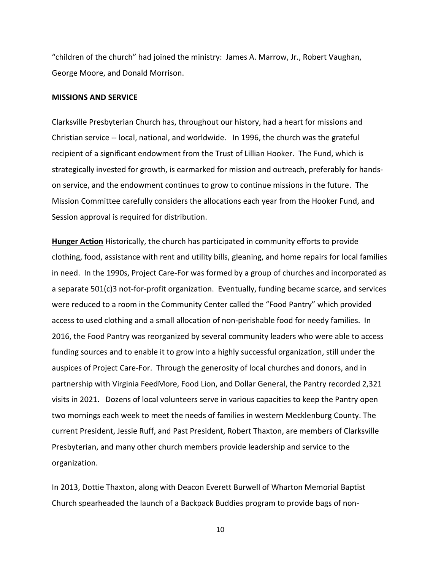"children of the church" had joined the ministry: James A. Marrow, Jr., Robert Vaughan, George Moore, and Donald Morrison.

#### **MISSIONS AND SERVICE**

Clarksville Presbyterian Church has, throughout our history, had a heart for missions and Christian service -- local, national, and worldwide. In 1996, the church was the grateful recipient of a significant endowment from the Trust of Lillian Hooker. The Fund, which is strategically invested for growth, is earmarked for mission and outreach, preferably for handson service, and the endowment continues to grow to continue missions in the future. The Mission Committee carefully considers the allocations each year from the Hooker Fund, and Session approval is required for distribution.

**Hunger Action** Historically, the church has participated in community efforts to provide clothing, food, assistance with rent and utility bills, gleaning, and home repairs for local families in need. In the 1990s, Project Care-For was formed by a group of churches and incorporated as a separate 501(c)3 not-for-profit organization. Eventually, funding became scarce, and services were reduced to a room in the Community Center called the "Food Pantry" which provided access to used clothing and a small allocation of non-perishable food for needy families. In 2016, the Food Pantry was reorganized by several community leaders who were able to access funding sources and to enable it to grow into a highly successful organization, still under the auspices of Project Care-For. Through the generosity of local churches and donors, and in partnership with Virginia FeedMore, Food Lion, and Dollar General, the Pantry recorded 2,321 visits in 2021. Dozens of local volunteers serve in various capacities to keep the Pantry open two mornings each week to meet the needs of families in western Mecklenburg County. The current President, Jessie Ruff, and Past President, Robert Thaxton, are members of Clarksville Presbyterian, and many other church members provide leadership and service to the organization.

In 2013, Dottie Thaxton, along with Deacon Everett Burwell of Wharton Memorial Baptist Church spearheaded the launch of a Backpack Buddies program to provide bags of non-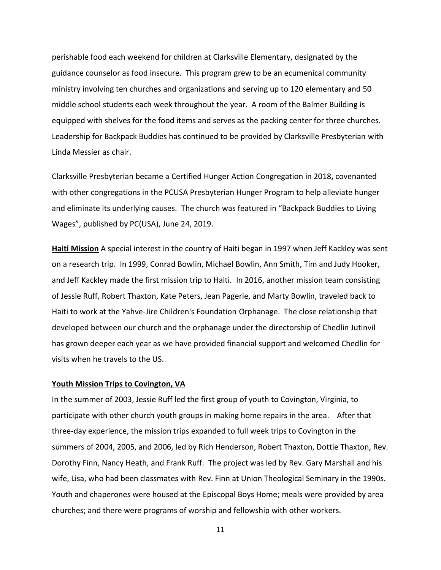perishable food each weekend for children at Clarksville Elementary, designated by the guidance counselor as food insecure. This program grew to be an ecumenical community ministry involving ten churches and organizations and serving up to 120 elementary and 50 middle school students each week throughout the year. A room of the Balmer Building is equipped with shelves for the food items and serves as the packing center for three churches. Leadership for Backpack Buddies has continued to be provided by Clarksville Presbyterian with Linda Messier as chair.

Clarksville Presbyterian became a Certified Hunger Action [Congregation](https://www.presbyterianmission.org/food-faith/hungercovenant/) in 2018**,** covenanted with other congregations in the PCUSA Presbyterian Hunger Program to help alleviate hunger and eliminate its underlying causes. The church was featured in "Backpack Buddies to Living Wages", published by PC(USA), June 24, 2019.

**Haiti Mission** A special interest in the country of Haiti began in 1997 when Jeff Kackley was sent on a research trip. In 1999, Conrad Bowlin, Michael Bowlin, Ann Smith, Tim and Judy Hooker, and Jeff Kackley made the first mission trip to Haiti. In 2016, another mission team consisting of Jessie Ruff, Robert Thaxton, Kate Peters, Jean Pagerie, and Marty Bowlin, traveled back to Haiti to work at the Yahve-Jire Children's Foundation Orphanage. The close relationship that developed between our church and the orphanage under the directorship of Chedlin Jutinvil has grown deeper each year as we have provided financial support and welcomed Chedlin for visits when he travels to the US.

#### **Youth Mission Trips to Covington, VA**

In the summer of 2003, Jessie Ruff led the first group of youth to Covington, Virginia, to participate with other church youth groups in making home repairs in the area. After that three-day experience, the mission trips expanded to full week trips to Covington in the summers of 2004, 2005, and 2006, led by Rich Henderson, Robert Thaxton, Dottie Thaxton, Rev. Dorothy Finn, Nancy Heath, and Frank Ruff. The project was led by Rev. Gary Marshall and his wife, Lisa, who had been classmates with Rev. Finn at Union Theological Seminary in the 1990s. Youth and chaperones were housed at the Episcopal Boys Home; meals were provided by area churches; and there were programs of worship and fellowship with other workers.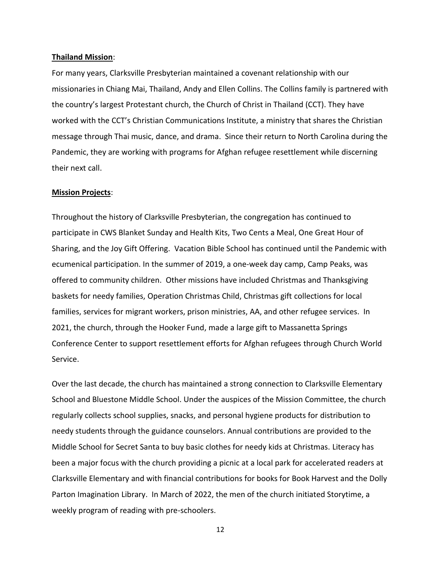#### **Thailand Mission**:

For many years, Clarksville Presbyterian maintained a covenant relationship with our missionaries in Chiang Mai, Thailand, Andy and Ellen Collins. The Collins family is partnered with the country's largest Protestant church, the Church of Christ in Thailand (CCT). They have worked with the CCT's Christian Communications Institute, a ministry that shares the Christian message through Thai music, dance, and drama. Since their return to North Carolina during the Pandemic, they are working with programs for Afghan refugee resettlement while discerning their next call.

#### **Mission Projects**:

Throughout the history of Clarksville Presbyterian, the congregation has continued to participate in CWS Blanket Sunday and Health Kits, Two Cents a Meal, One Great Hour of Sharing, and the Joy Gift Offering. Vacation Bible School has continued until the Pandemic with ecumenical participation. In the summer of 2019, a one-week day camp, Camp Peaks, was offered to community children. Other missions have included Christmas and Thanksgiving baskets for needy families, Operation Christmas Child, Christmas gift collections for local families, services for migrant workers, prison ministries, AA, and other refugee services. In 2021, the church, through the Hooker Fund, made a large gift to Massanetta Springs Conference Center to support resettlement efforts for Afghan refugees through Church World Service.

Over the last decade, the church has maintained a strong connection to Clarksville Elementary School and Bluestone Middle School. Under the auspices of the Mission Committee, the church regularly collects school supplies, snacks, and personal hygiene products for distribution to needy students through the guidance counselors. Annual contributions are provided to the Middle School for Secret Santa to buy basic clothes for needy kids at Christmas. Literacy has been a major focus with the church providing a picnic at a local park for accelerated readers at Clarksville Elementary and with financial contributions for books for Book Harvest and the Dolly Parton Imagination Library. In March of 2022, the men of the church initiated Storytime, a weekly program of reading with pre-schoolers.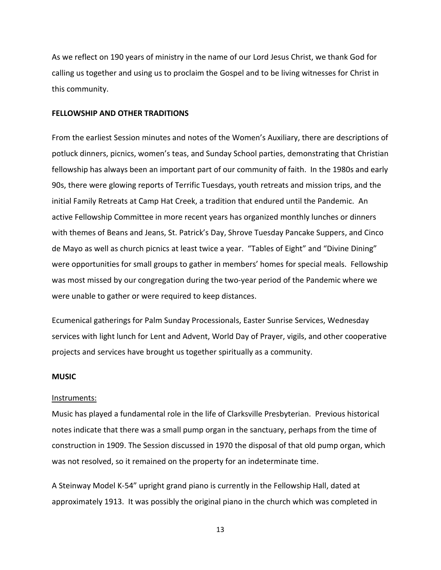As we reflect on 190 years of ministry in the name of our Lord Jesus Christ, we thank God for calling us together and using us to proclaim the Gospel and to be living witnesses for Christ in this community.

#### **FELLOWSHIP AND OTHER TRADITIONS**

From the earliest Session minutes and notes of the Women's Auxiliary, there are descriptions of potluck dinners, picnics, women's teas, and Sunday School parties, demonstrating that Christian fellowship has always been an important part of our community of faith. In the 1980s and early 90s, there were glowing reports of Terrific Tuesdays, youth retreats and mission trips, and the initial Family Retreats at Camp Hat Creek, a tradition that endured until the Pandemic. An active Fellowship Committee in more recent years has organized monthly lunches or dinners with themes of Beans and Jeans, St. Patrick's Day, Shrove Tuesday Pancake Suppers, and Cinco de Mayo as well as church picnics at least twice a year. "Tables of Eight" and "Divine Dining" were opportunities for small groups to gather in members' homes for special meals. Fellowship was most missed by our congregation during the two-year period of the Pandemic where we were unable to gather or were required to keep distances.

Ecumenical gatherings for Palm Sunday Processionals, Easter Sunrise Services, Wednesday services with light lunch for Lent and Advent, World Day of Prayer, vigils, and other cooperative projects and services have brought us together spiritually as a community.

#### **MUSIC**

#### Instruments:

Music has played a fundamental role in the life of Clarksville Presbyterian. Previous historical notes indicate that there was a small pump organ in the sanctuary, perhaps from the time of construction in 1909. The Session discussed in 1970 the disposal of that old pump organ, which was not resolved, so it remained on the property for an indeterminate time.

A Steinway Model K-54" upright grand piano is currently in the Fellowship Hall, dated at approximately 1913. It was possibly the original piano in the church which was completed in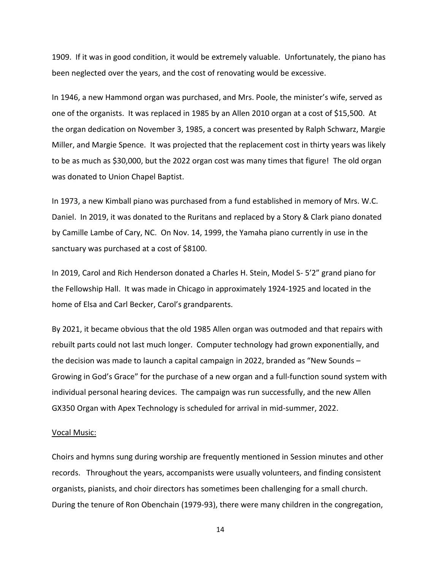1909. If it was in good condition, it would be extremely valuable. Unfortunately, the piano has been neglected over the years, and the cost of renovating would be excessive.

In 1946, a new Hammond organ was purchased, and Mrs. Poole, the minister's wife, served as one of the organists. It was replaced in 1985 by an Allen 2010 organ at a cost of \$15,500. At the organ dedication on November 3, 1985, a concert was presented by Ralph Schwarz, Margie Miller, and Margie Spence. It was projected that the replacement cost in thirty years was likely to be as much as \$30,000, but the 2022 organ cost was many times that figure! The old organ was donated to Union Chapel Baptist.

In 1973, a new Kimball piano was purchased from a fund established in memory of Mrs. W.C. Daniel. In 2019, it was donated to the Ruritans and replaced by a Story & Clark piano donated by Camille Lambe of Cary, NC. On Nov. 14, 1999, the Yamaha piano currently in use in the sanctuary was purchased at a cost of \$8100.

In 2019, Carol and Rich Henderson donated a Charles H. Stein, Model S- 5'2" grand piano for the Fellowship Hall. It was made in Chicago in approximately 1924-1925 and located in the home of Elsa and Carl Becker, Carol's grandparents.

By 2021, it became obvious that the old 1985 Allen organ was outmoded and that repairs with rebuilt parts could not last much longer. Computer technology had grown exponentially, and the decision was made to launch a capital campaign in 2022, branded as "New Sounds – Growing in God's Grace" for the purchase of a new organ and a full-function sound system with individual personal hearing devices. The campaign was run successfully, and the new Allen GX350 Organ with Apex Technology is scheduled for arrival in mid-summer, 2022.

#### Vocal Music:

Choirs and hymns sung during worship are frequently mentioned in Session minutes and other records. Throughout the years, accompanists were usually volunteers, and finding consistent organists, pianists, and choir directors has sometimes been challenging for a small church. During the tenure of Ron Obenchain (1979-93), there were many children in the congregation,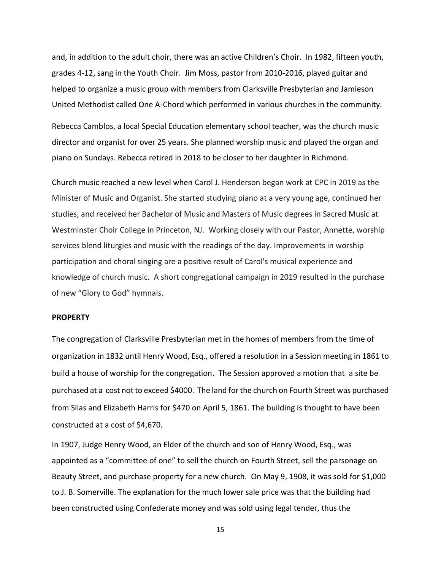and, in addition to the adult choir, there was an active Children's Choir. In 1982, fifteen youth, grades 4-12, sang in the Youth Choir. Jim Moss, pastor from 2010-2016, played guitar and helped to organize a music group with members from Clarksville Presbyterian and Jamieson United Methodist called One A-Chord which performed in various churches in the community.

Rebecca Camblos, a local Special Education elementary school teacher, was the church music director and organist for over 25 years. She planned worship music and played the organ and piano on Sundays. Rebecca retired in 2018 to be closer to her daughter in Richmond.

Church music reached a new level when Carol J. Henderson began work at CPC in 2019 as the Minister of Music and Organist. She started studying piano at a very young age, continued her studies, and received her Bachelor of Music and Masters of Music degrees in Sacred Music at Westminster Choir College in Princeton, NJ. Working closely with our Pastor, Annette, worship services blend liturgies and music with the readings of the day. Improvements in worship participation and choral singing are a positive result of Carol's musical experience and knowledge of church music. A short congregational campaign in 2019 resulted in the purchase of new "Glory to God" hymnals.

#### **PROPERTY**

The congregation of Clarksville Presbyterian met in the homes of members from the time of organization in 1832 until Henry Wood, Esq., offered a resolution in a Session meeting in 1861 to build a house of worship for the congregation. The Session approved a motion that a site be purchased at a cost not to exceed \$4000. The land for the church on Fourth Street was purchased from Silas and Elizabeth Harris for \$470 on April 5, 1861. The building is thought to have been constructed at a cost of \$4,670.

In 1907, Judge Henry Wood, an Elder of the church and son of Henry Wood, Esq., was appointed as a "committee of one" to sell the church on Fourth Street, sell the parsonage on Beauty Street, and purchase property for a new church. On May 9, 1908, it was sold for \$1,000 to J. B. Somerville. The explanation for the much lower sale price was that the building had been constructed using Confederate money and was sold using legal tender, thus the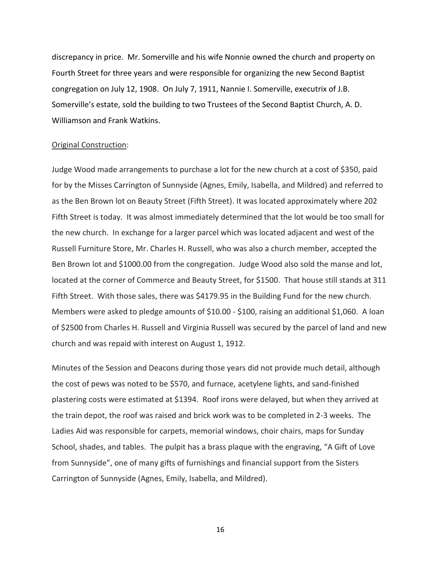discrepancy in price. Mr. Somerville and his wife Nonnie owned the church and property on Fourth Street for three years and were responsible for organizing the new Second Baptist congregation on July 12, 1908. On July 7, 1911, Nannie I. Somerville, executrix of J.B. Somerville's estate, sold the building to two Trustees of the Second Baptist Church, A. D. Williamson and Frank Watkins.

#### Original Construction:

Judge Wood made arrangements to purchase a lot for the new church at a cost of \$350, paid for by the Misses Carrington of Sunnyside (Agnes, Emily, Isabella, and Mildred) and referred to as the Ben Brown lot on Beauty Street (Fifth Street). It was located approximately where 202 Fifth Street is today. It was almost immediately determined that the lot would be too small for the new church. In exchange for a larger parcel which was located adjacent and west of the Russell Furniture Store, Mr. Charles H. Russell, who was also a church member, accepted the Ben Brown lot and \$1000.00 from the congregation. Judge Wood also sold the manse and lot, located at the corner of Commerce and Beauty Street, for \$1500. That house still stands at 311 Fifth Street. With those sales, there was \$4179.95 in the Building Fund for the new church. Members were asked to pledge amounts of \$10.00 - \$100, raising an additional \$1,060. A loan of \$2500 from Charles H. Russell and Virginia Russell was secured by the parcel of land and new church and was repaid with interest on August 1, 1912.

Minutes of the Session and Deacons during those years did not provide much detail, although the cost of pews was noted to be \$570, and furnace, acetylene lights, and sand-finished plastering costs were estimated at \$1394. Roof irons were delayed, but when they arrived at the train depot, the roof was raised and brick work was to be completed in 2-3 weeks. The Ladies Aid was responsible for carpets, memorial windows, choir chairs, maps for Sunday School, shades, and tables. The pulpit has a brass plaque with the engraving, "A Gift of Love from Sunnyside", one of many gifts of furnishings and financial support from the Sisters Carrington of Sunnyside (Agnes, Emily, Isabella, and Mildred).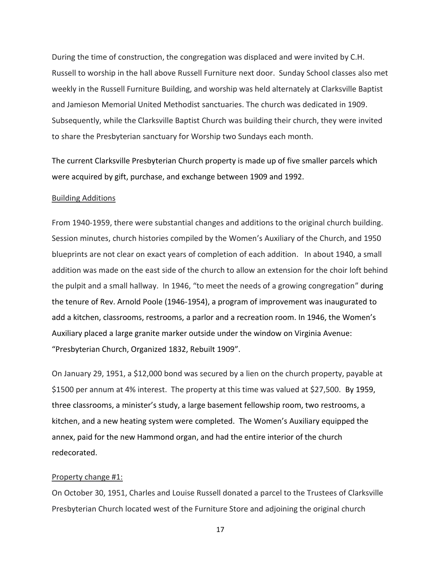During the time of construction, the congregation was displaced and were invited by C.H. Russell to worship in the hall above Russell Furniture next door. Sunday School classes also met weekly in the Russell Furniture Building, and worship was held alternately at Clarksville Baptist and Jamieson Memorial United Methodist sanctuaries. The church was dedicated in 1909. Subsequently, while the Clarksville Baptist Church was building their church, they were invited to share the Presbyterian sanctuary for Worship two Sundays each month.

The current Clarksville Presbyterian Church property is made up of five smaller parcels which were acquired by gift, purchase, and exchange between 1909 and 1992.

#### Building Additions

From 1940-1959, there were substantial changes and additions to the original church building. Session minutes, church histories compiled by the Women's Auxiliary of the Church, and 1950 blueprints are not clear on exact years of completion of each addition. In about 1940, a small addition was made on the east side of the church to allow an extension for the choir loft behind the pulpit and a small hallway. In 1946, "to meet the needs of a growing congregation" during the tenure of Rev. Arnold Poole (1946-1954), a program of improvement was inaugurated to add a kitchen, classrooms, restrooms, a parlor and a recreation room. In 1946, the Women's Auxiliary placed a large granite marker outside under the window on Virginia Avenue: "Presbyterian Church, Organized 1832, Rebuilt 1909".

On January 29, 1951, a \$12,000 bond was secured by a lien on the church property, payable at \$1500 per annum at 4% interest. The property at this time was valued at \$27,500. By 1959, three classrooms, a minister's study, a large basement fellowship room, two restrooms, a kitchen, and a new heating system were completed. The Women's Auxiliary equipped the annex, paid for the new Hammond organ, and had the entire interior of the church redecorated.

#### Property change #1:

On October 30, 1951, Charles and Louise Russell donated a parcel to the Trustees of Clarksville Presbyterian Church located west of the Furniture Store and adjoining the original church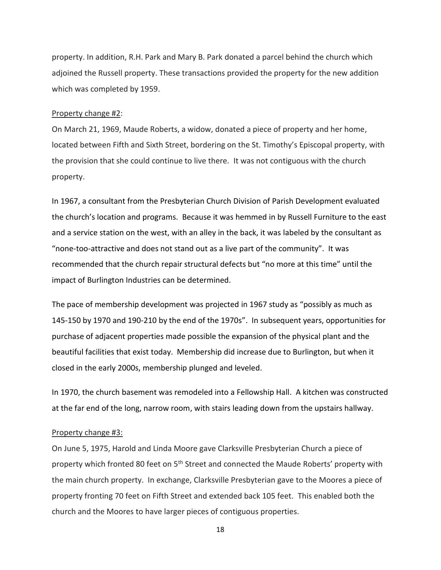property. In addition, R.H. Park and Mary B. Park donated a parcel behind the church which adjoined the Russell property. These transactions provided the property for the new addition which was completed by 1959.

#### Property change #2:

On March 21, 1969, Maude Roberts, a widow, donated a piece of property and her home, located between Fifth and Sixth Street, bordering on the St. Timothy's Episcopal property, with the provision that she could continue to live there. It was not contiguous with the church property.

In 1967, a consultant from the Presbyterian Church Division of Parish Development evaluated the church's location and programs. Because it was hemmed in by Russell Furniture to the east and a service station on the west, with an alley in the back, it was labeled by the consultant as "none-too-attractive and does not stand out as a live part of the community". It was recommended that the church repair structural defects but "no more at this time" until the impact of Burlington Industries can be determined.

The pace of membership development was projected in 1967 study as "possibly as much as 145-150 by 1970 and 190-210 by the end of the 1970s". In subsequent years, opportunities for purchase of adjacent properties made possible the expansion of the physical plant and the beautiful facilities that exist today. Membership did increase due to Burlington, but when it closed in the early 2000s, membership plunged and leveled.

In 1970, the church basement was remodeled into a Fellowship Hall. A kitchen was constructed at the far end of the long, narrow room, with stairs leading down from the upstairs hallway.

#### Property change #3:

On June 5, 1975, Harold and Linda Moore gave Clarksville Presbyterian Church a piece of property which fronted 80 feet on 5<sup>th</sup> Street and connected the Maude Roberts' property with the main church property. In exchange, Clarksville Presbyterian gave to the Moores a piece of property fronting 70 feet on Fifth Street and extended back 105 feet. This enabled both the church and the Moores to have larger pieces of contiguous properties.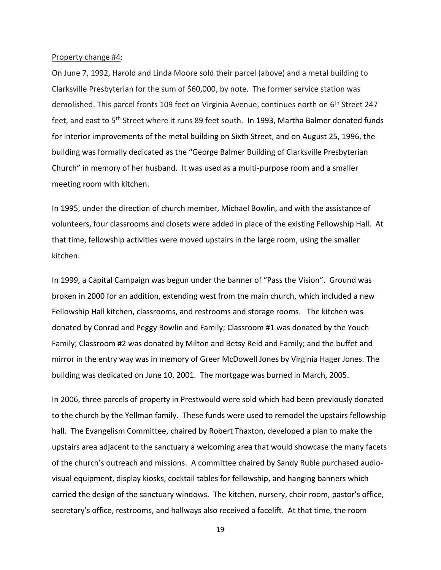#### Property change #4:

On June 7, 1992, Harold and Linda Moore sold their parcel (above) and a metal building to Clarksville Presbyterian for the sum of \$60,000, by note. The former service station was demolished. This parcel fronts 109 feet on Virginia Avenue, continues north on 6<sup>th</sup> Street 247 feet, and east to 5<sup>th</sup> Street where it runs 89 feet south. In 1993, Martha Balmer donated funds for interior improvements of the metal building on Sixth Street, and on August 25, 1996, the building was formally dedicated as the "George Balmer Building of Clarksville Presbyterian Church" in memory of her husband. It was used as a multi-purpose room and a smaller meeting room with kitchen.

In 1995, under the direction of church member, Michael Bowlin, and with the assistance of volunteers, four classrooms and closets were added in place of the existing Fellowship Hall. At that time, fellowship activities were moved upstairs in the large room, using the smaller kitchen.

In 1999, a Capital Campaign was begun under the banner of "Pass the Vision". Ground was broken in 2000 for an addition, extending west from the main church, which included a new Fellowship Hall kitchen, classrooms, and restrooms and storage rooms. The kitchen was donated by Conrad and Peggy Bowlin and Family; Classroom #1 was donated by the Youch Family; Classroom #2 was donated by Milton and Betsy Reid and Family; and the buffet and mirror in the entry way was in memory of Greer McDowell Jones by Virginia Hager Jones. The building was dedicated on June 10, 2001. The mortgage was burned in March, 2005.

In 2006, three parcels of property in Prestwould were sold which had been previously donated to the church by the Yellman family. These funds were used to remodel the upstairs fellowship hall. The Evangelism Committee, chaired by Robert Thaxton, developed a plan to make the upstairs area adjacent to the sanctuary a welcoming area that would showcase the many facets of the church's outreach and missions. A committee chaired by Sandy Ruble purchased audiovisual equipment, display kiosks, cocktail tables for fellowship, and hanging banners which carried the design of the sanctuary windows. The kitchen, nursery, choir room, pastor's office, secretary's office, restrooms, and hallways also received a facelift. At that time, the room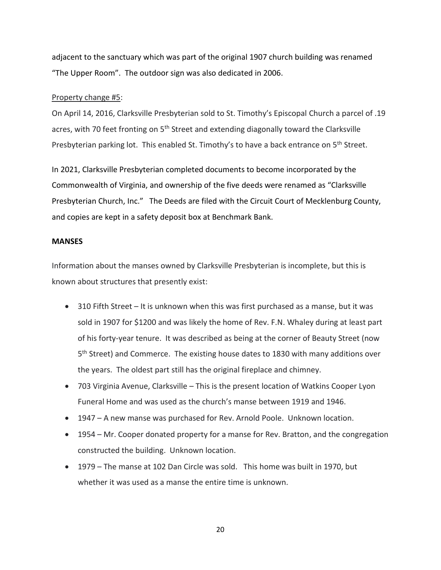adjacent to the sanctuary which was part of the original 1907 church building was renamed "The Upper Room". The outdoor sign was also dedicated in 2006.

#### Property change #5:

On April 14, 2016, Clarksville Presbyterian sold to St. Timothy's Episcopal Church a parcel of .19 acres, with 70 feet fronting on 5<sup>th</sup> Street and extending diagonally toward the Clarksville Presbyterian parking lot. This enabled St. Timothy's to have a back entrance on 5<sup>th</sup> Street.

In 2021, Clarksville Presbyterian completed documents to become incorporated by the Commonwealth of Virginia, and ownership of the five deeds were renamed as "Clarksville Presbyterian Church, Inc." The Deeds are filed with the Circuit Court of Mecklenburg County, and copies are kept in a safety deposit box at Benchmark Bank.

#### **MANSES**

Information about the manses owned by Clarksville Presbyterian is incomplete, but this is known about structures that presently exist:

- 310 Fifth Street It is unknown when this was first purchased as a manse, but it was sold in 1907 for \$1200 and was likely the home of Rev. F.N. Whaley during at least part of his forty-year tenure. It was described as being at the corner of Beauty Street (now 5<sup>th</sup> Street) and Commerce. The existing house dates to 1830 with many additions over the years. The oldest part still has the original fireplace and chimney.
- 703 Virginia Avenue, Clarksville This is the present location of Watkins Cooper Lyon Funeral Home and was used as the church's manse between 1919 and 1946.
- 1947 A new manse was purchased for Rev. Arnold Poole. Unknown location.
- 1954 Mr. Cooper donated property for a manse for Rev. Bratton, and the congregation constructed the building. Unknown location.
- 1979 The manse at 102 Dan Circle was sold. This home was built in 1970, but whether it was used as a manse the entire time is unknown.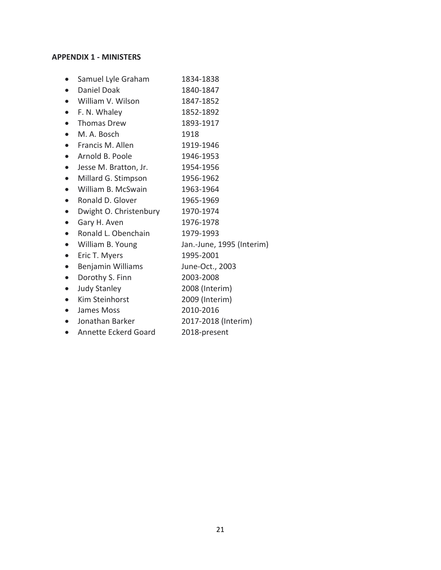# **APPENDIX 1 - MINISTERS**

|           | Samuel Lyle Graham     | 1834-1838                 |
|-----------|------------------------|---------------------------|
|           | Daniel Doak            | 1840-1847                 |
| $\bullet$ | William V. Wilson      | 1847-1852                 |
| $\bullet$ | F. N. Whaley           | 1852-1892                 |
| $\bullet$ | Thomas Drew            | 1893-1917                 |
| $\bullet$ | M. A. Bosch            | 1918                      |
| $\bullet$ | Francis M. Allen       | 1919-1946                 |
| $\bullet$ | Arnold B. Poole        | 1946-1953                 |
| $\bullet$ | Jesse M. Bratton, Jr.  | 1954-1956                 |
| $\bullet$ | Millard G. Stimpson    | 1956-1962                 |
| $\bullet$ | William B. McSwain     | 1963-1964                 |
| $\bullet$ | Ronald D. Glover       | 1965-1969                 |
| $\bullet$ | Dwight O. Christenbury | 1970-1974                 |
| $\bullet$ | Gary H. Aven           | 1976-1978                 |
| $\bullet$ | Ronald L. Obenchain    | 1979-1993                 |
| $\bullet$ | William B. Young       | Jan.-June, 1995 (Interim) |
| $\bullet$ | Eric T. Myers          | 1995-2001                 |
| $\bullet$ | Benjamin Williams      | June-Oct., 2003           |
| $\bullet$ | Dorothy S. Finn        | 2003-2008                 |
| $\bullet$ | <b>Judy Stanley</b>    | 2008 (Interim)            |
| $\bullet$ | <b>Kim Steinhorst</b>  | 2009 (Interim)            |
| $\bullet$ | James Moss             | 2010-2016                 |
| $\bullet$ | Jonathan Barker        | 2017-2018 (Interim)       |
| $\bullet$ | Annette Eckerd Goard   | 2018-present              |
|           |                        |                           |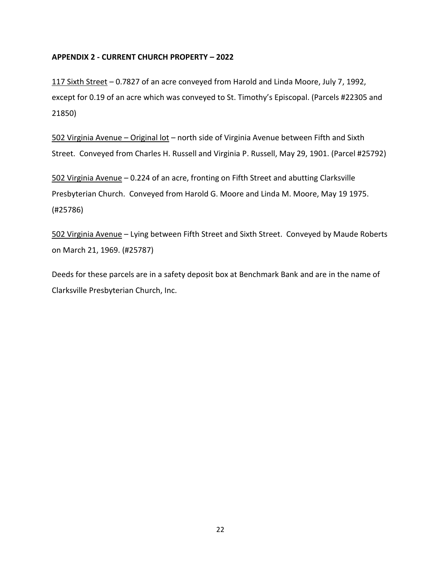# **APPENDIX 2 - CURRENT CHURCH PROPERTY – 2022**

117 Sixth Street – 0.7827 of an acre conveyed from Harold and Linda Moore, July 7, 1992, except for 0.19 of an acre which was conveyed to St. Timothy's Episcopal. (Parcels #22305 and 21850)

502 Virginia Avenue – Original lot – north side of Virginia Avenue between Fifth and Sixth Street. Conveyed from Charles H. Russell and Virginia P. Russell, May 29, 1901. (Parcel #25792)

502 Virginia Avenue – 0.224 of an acre, fronting on Fifth Street and abutting Clarksville Presbyterian Church. Conveyed from Harold G. Moore and Linda M. Moore, May 19 1975. (#25786)

502 Virginia Avenue – Lying between Fifth Street and Sixth Street. Conveyed by Maude Roberts on March 21, 1969. (#25787)

Deeds for these parcels are in a safety deposit box at Benchmark Bank and are in the name of Clarksville Presbyterian Church, Inc.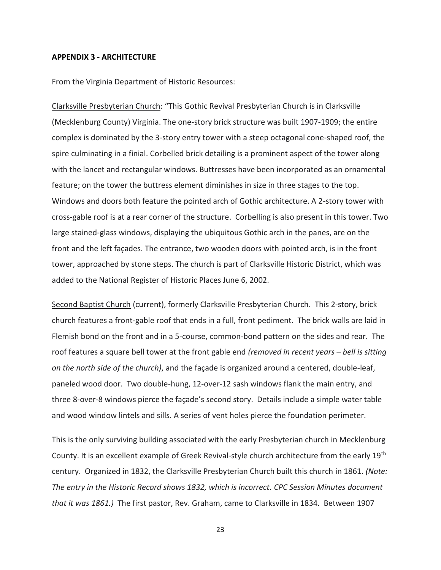#### **APPENDIX 3 - ARCHITECTURE**

From the Virginia Department of Historic Resources:

Clarksville Presbyterian Church: "This Gothic Revival Presbyterian Church is in Clarksville (Mecklenburg County) Virginia. The one-story brick structure was built 1907-1909; the entire complex is dominated by the 3-story entry tower with a steep octagonal cone-shaped roof, the spire culminating in a finial. Corbelled brick detailing is a prominent aspect of the tower along with the lancet and rectangular windows. Buttresses have been incorporated as an ornamental feature; on the tower the buttress element diminishes in size in three stages to the top. Windows and doors both feature the pointed arch of Gothic architecture. A 2-story tower with cross-gable roof is at a rear corner of the structure. Corbelling is also present in this tower. Two large stained-glass windows, displaying the ubiquitous Gothic arch in the panes, are on the front and the left façades. The entrance, two wooden doors with pointed arch, is in the front tower, approached by stone steps. The church is part of Clarksville Historic District, which was added to the National Register of Historic Places June 6, 2002.

Second Baptist Church (current), formerly Clarksville Presbyterian Church. This 2-story, brick church features a front-gable roof that ends in a full, front pediment. The brick walls are laid in Flemish bond on the front and in a 5-course, common-bond pattern on the sides and rear. The roof features a square bell tower at the front gable end *(removed in recent years – bell is sitting on the north side of the church)*, and the façade is organized around a centered, double-leaf, paneled wood door. Two double-hung, 12-over-12 sash windows flank the main entry, and three 8-over-8 windows pierce the façade's second story. Details include a simple water table and wood window lintels and sills. A series of vent holes pierce the foundation perimeter.

This is the only surviving building associated with the early Presbyterian church in Mecklenburg County. It is an excellent example of Greek Revival-style church architecture from the early 19th century. Organized in 1832, the Clarksville Presbyterian Church built this church in 1861. *(Note: The entry in the Historic Record shows 1832, which is incorrect. CPC Session Minutes document that it was 1861.)* The first pastor, Rev. Graham, came to Clarksville in 1834. Between 1907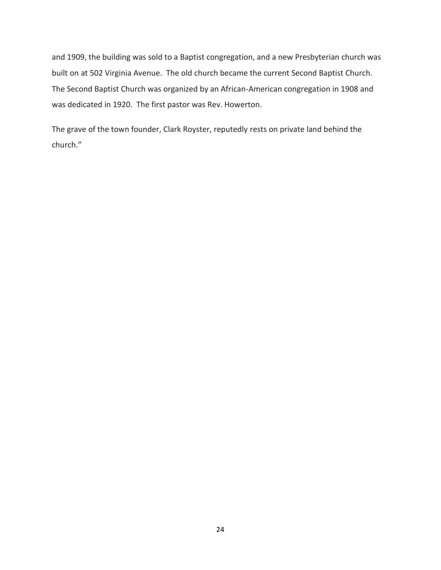and 1909, the building was sold to a Baptist congregation, and a new Presbyterian church was built on at 502 Virginia Avenue. The old church became the current Second Baptist Church. The Second Baptist Church was organized by an African-American congregation in 1908 and was dedicated in 1920. The first pastor was Rev. Howerton.

The grave of the town founder, Clark Royster, reputedly rests on private land behind the church."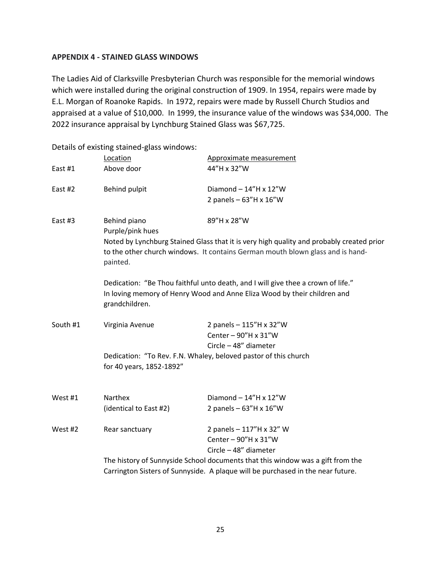# **APPENDIX 4 - STAINED GLASS WINDOWS**

The Ladies Aid of Clarksville Presbyterian Church was responsible for the memorial windows which were installed during the original construction of 1909. In 1954, repairs were made by E.L. Morgan of Roanoke Rapids. In 1972, repairs were made by Russell Church Studios and appraised at a value of \$10,000. In 1999, the insurance value of the windows was \$34,000. The 2022 insurance appraisal by Lynchburg Stained Glass was \$67,725.

Details of existing stained-glass windows: Location **Approximate measurement** East #1 Above door 44"H x 32"W East #2 Behind pulpit Diamond – 14"H x 12"W 2 panels – 63"H x 16"W East #3 Behind piano 89"H x 28"W Purple/pink hues Noted by Lynchburg Stained Glass that it is very high quality and probably created prior to the other church windows. It contains German mouth blown glass and is handpainted. Dedication: "Be Thou faithful unto death, and I will give thee a crown of life." In loving memory of Henry Wood and Anne Eliza Wood by their children and grandchildren. South #1 Virginia Avenue 2 panels – 115"H x 32"W Center – 90"H x 31"W Circle – 48" diameter Dedication: "To Rev. F.N. Whaley, beloved pastor of this church for 40 years, 1852-1892" West #1 Narthex Diamond – 14"H x 12"W (identical to East #2)  $2$  panels –  $63"H \times 16"W$ West #2 Rear sanctuary 2 panels – 117"H x 32" W Center – 90"H x 31"W

> Circle – 48" diameter The history of Sunnyside School documents that this window was a gift from the Carrington Sisters of Sunnyside. A plaque will be purchased in the near future.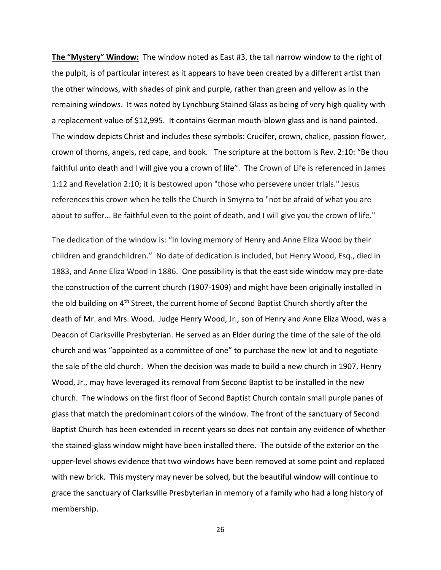**The "Mystery" Window:** The window noted as East #3, the tall narrow window to the right of the pulpit, is of particular interest as it appears to have been created by a different artist than the other windows, with shades of pink and purple, rather than green and yellow as in the remaining windows. It was noted by Lynchburg Stained Glass as being of very high quality with a replacement value of \$12,995. It contains German mouth-blown glass and is hand painted. The window depicts Christ and includes these symbols: Crucifer, crown, chalice, passion flower, crown of thorns, angels, red cape, and book. The scripture at the bottom is Rev. 2:10: "Be thou faithful unto death and I will give you a crown of life". The Crown of Life is referenced in James 1:12 and Revelation 2:10; it is bestowed upon "those who persevere under trials." Jesus references this crown when he tells the Church in Smyrna to "not be afraid of what you are about to suffer... Be faithful even to the point of death, and I will give you the crown of life."

The dedication of the window is: "In loving memory of Henry and Anne Eliza Wood by their children and grandchildren." No date of dedication is included, but Henry Wood, Esq., died in 1883, and Anne Eliza Wood in 1886. One possibility is that the east side window may pre-date the construction of the current church (1907-1909) and might have been originally installed in the old building on 4<sup>th</sup> Street, the current home of Second Baptist Church shortly after the death of Mr. and Mrs. Wood. Judge Henry Wood, Jr., son of Henry and Anne Eliza Wood, was a Deacon of Clarksville Presbyterian. He served as an Elder during the time of the sale of the old church and was "appointed as a committee of one" to purchase the new lot and to negotiate the sale of the old church. When the decision was made to build a new church in 1907, Henry Wood, Jr., may have leveraged its removal from Second Baptist to be installed in the new church. The windows on the first floor of Second Baptist Church contain small purple panes of glass that match the predominant colors of the window. The front of the sanctuary of Second Baptist Church has been extended in recent years so does not contain any evidence of whether the stained-glass window might have been installed there. The outside of the exterior on the upper-level shows evidence that two windows have been removed at some point and replaced with new brick. This mystery may never be solved, but the beautiful window will continue to grace the sanctuary of Clarksville Presbyterian in memory of a family who had a long history of membership.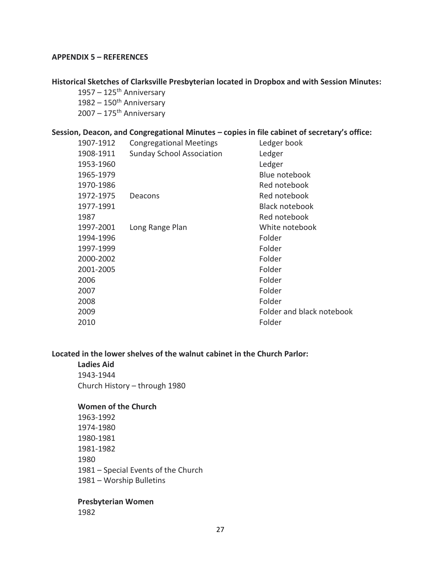#### **APPENDIX 5 – REFERENCES**

#### **Historical Sketches of Clarksville Presbyterian located in Dropbox and with Session Minutes:**

 $1957 - 125$ <sup>th</sup> Anniversary  $1982 - 150$ <sup>th</sup> Anniversary  $2007 - 175$ <sup>th</sup> Anniversary

### **Session, Deacon, and Congregational Minutes – copies in file cabinet of secretary's office:**

| 1907-1912 | <b>Congregational Meetings</b>   | Ledger book               |
|-----------|----------------------------------|---------------------------|
| 1908-1911 | <b>Sunday School Association</b> | Ledger                    |
| 1953-1960 |                                  | Ledger                    |
| 1965-1979 |                                  | Blue notebook             |
| 1970-1986 |                                  | Red notebook              |
| 1972-1975 | Deacons                          | Red notebook              |
| 1977-1991 |                                  | <b>Black notebook</b>     |
| 1987      |                                  | Red notebook              |
| 1997-2001 | Long Range Plan                  | White notebook            |
| 1994-1996 |                                  | Folder                    |
| 1997-1999 |                                  | Folder                    |
| 2000-2002 |                                  | Folder                    |
| 2001-2005 |                                  | Folder                    |
| 2006      |                                  | Folder                    |
| 2007      |                                  | Folder                    |
| 2008      |                                  | Folder                    |
| 2009      |                                  | Folder and black notebook |
| 2010      |                                  | Folder                    |

# **Located in the lower shelves of the walnut cabinet in the Church Parlor:**

**Ladies Aid** 1943-1944 Church History – through 1980

#### **Women of the Church**

1963-1992 1974-1980 1980-1981 1981-1982 1980 1981 – Special Events of the Church 1981 – Worship Bulletins

# **Presbyterian Women**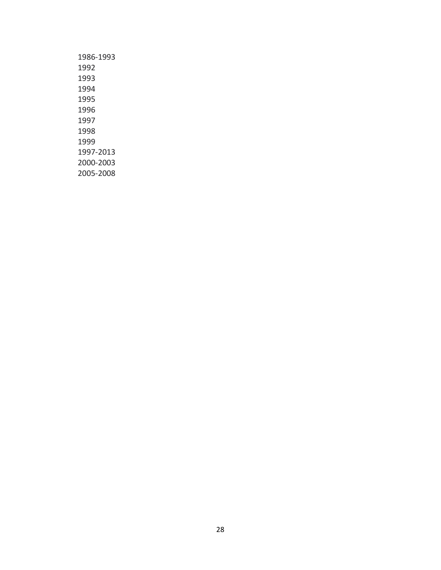| 1986-1993 |
|-----------|
| 1992      |
| 1993      |
| 1994      |
| 1995      |
| 1996      |
| 1997      |
| 1998      |
| 1999      |
| 1997-2013 |
| 2000-2003 |
| 2005-2008 |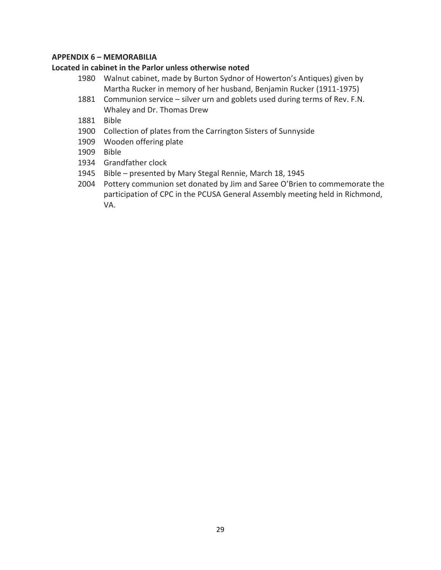# **APPENDIX 6 – MEMORABILIA**

# **Located in cabinet in the Parlor unless otherwise noted**

- 1980 Walnut cabinet, made by Burton Sydnor of Howerton's Antiques) given by Martha Rucker in memory of her husband, Benjamin Rucker (1911-1975)
- 1881 Communion service silver urn and goblets used during terms of Rev. F.N. Whaley and Dr. Thomas Drew
- 1881 Bible
- 1900 Collection of plates from the Carrington Sisters of Sunnyside
- 1909 Wooden offering plate
- 1909 Bible
- 1934 Grandfather clock
- 1945 Bible presented by Mary Stegal Rennie, March 18, 1945
- 2004 Pottery communion set donated by Jim and Saree O'Brien to commemorate the participation of CPC in the PCUSA General Assembly meeting held in Richmond, VA.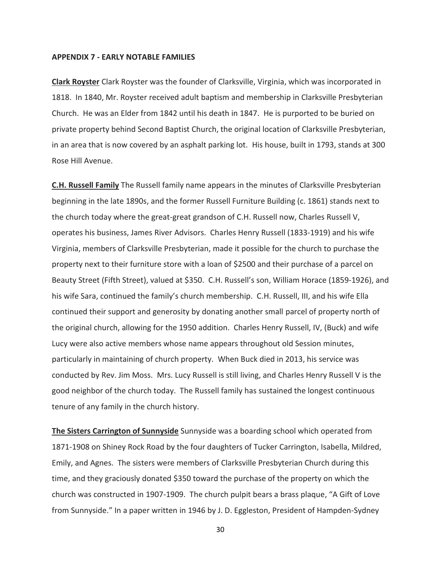#### **APPENDIX 7 - EARLY NOTABLE FAMILIES**

**Clark Royster** Clark Royster was the founder of Clarksville, Virginia, which was incorporated in 1818. In 1840, Mr. Royster received adult baptism and membership in Clarksville Presbyterian Church. He was an Elder from 1842 until his death in 1847. He is purported to be buried on private property behind Second Baptist Church, the original location of Clarksville Presbyterian, in an area that is now covered by an asphalt parking lot. His house, built in 1793, stands at 300 Rose Hill Avenue.

**C.H. Russell Family** The Russell family name appears in the minutes of Clarksville Presbyterian beginning in the late 1890s, and the former Russell Furniture Building (c. 1861) stands next to the church today where the great-great grandson of C.H. Russell now, Charles Russell V, operates his business, James River Advisors. Charles Henry Russell (1833-1919) and his wife Virginia, members of Clarksville Presbyterian, made it possible for the church to purchase the property next to their furniture store with a loan of \$2500 and their purchase of a parcel on Beauty Street (Fifth Street), valued at \$350. C.H. Russell's son, William Horace (1859-1926), and his wife Sara, continued the family's church membership. C.H. Russell, III, and his wife Ella continued their support and generosity by donating another small parcel of property north of the original church, allowing for the 1950 addition. Charles Henry Russell, IV, (Buck) and wife Lucy were also active members whose name appears throughout old Session minutes, particularly in maintaining of church property. When Buck died in 2013, his service was conducted by Rev. Jim Moss. Mrs. Lucy Russell is still living, and Charles Henry Russell V is the good neighbor of the church today. The Russell family has sustained the longest continuous tenure of any family in the church history.

**The Sisters Carrington of Sunnyside** Sunnyside was a boarding school which operated from 1871-1908 on Shiney Rock Road by the four daughters of Tucker Carrington, Isabella, Mildred, Emily, and Agnes. The sisters were members of Clarksville Presbyterian Church during this time, and they graciously donated \$350 toward the purchase of the property on which the church was constructed in 1907-1909. The church pulpit bears a brass plaque, "A Gift of Love from Sunnyside." In a paper written in 1946 by J. D. Eggleston, President of Hampden-Sydney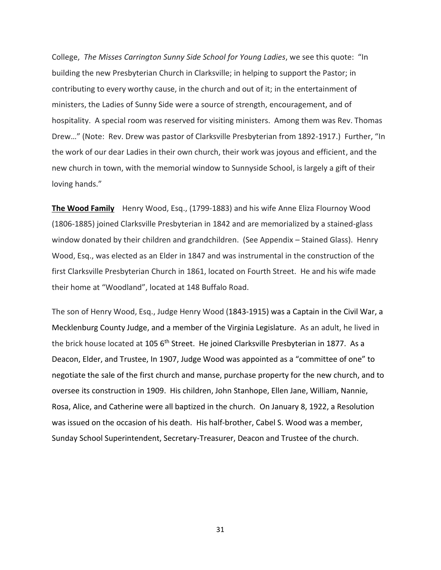College, *The Misses Carrington Sunny Side School for Young Ladies*, we see this quote: "In building the new Presbyterian Church in Clarksville; in helping to support the Pastor; in contributing to every worthy cause, in the church and out of it; in the entertainment of ministers, the Ladies of Sunny Side were a source of strength, encouragement, and of hospitality. A special room was reserved for visiting ministers. Among them was Rev. Thomas Drew…" (Note: Rev. Drew was pastor of Clarksville Presbyterian from 1892-1917.) Further, "In the work of our dear Ladies in their own church, their work was joyous and efficient, and the new church in town, with the memorial window to Sunnyside School, is largely a gift of their loving hands."

**The Wood Family** Henry Wood, Esq., (1799-1883) and his wife Anne Eliza Flournoy Wood (1806-1885) joined Clarksville Presbyterian in 1842 and are memorialized by a stained-glass window donated by their children and grandchildren. (See Appendix – Stained Glass). Henry Wood, Esq., was elected as an Elder in 1847 and was instrumental in the construction of the first Clarksville Presbyterian Church in 1861, located on Fourth Street. He and his wife made their home at "Woodland", located at 148 Buffalo Road.

The son of Henry Wood, Esq., Judge Henry Wood (1843-1915) was a Captain in the Civil War, a Mecklenburg County Judge, and a member of the Virginia Legislature. As an adult, he lived in the brick house located at 105 6<sup>th</sup> Street. He joined Clarksville Presbyterian in 1877. As a Deacon, Elder, and Trustee, In 1907, Judge Wood was appointed as a "committee of one" to negotiate the sale of the first church and manse, purchase property for the new church, and to oversee its construction in 1909. His children, John Stanhope, Ellen Jane, William, Nannie, Rosa, Alice, and Catherine were all baptized in the church. On January 8, 1922, a Resolution was issued on the occasion of his death. His half-brother, Cabel S. Wood was a member, Sunday School Superintendent, Secretary-Treasurer, Deacon and Trustee of the church.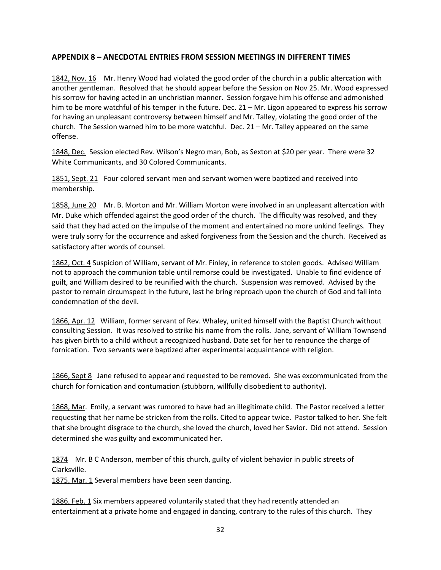### **APPENDIX 8 – ANECDOTAL ENTRIES FROM SESSION MEETINGS IN DIFFERENT TIMES**

1842, Nov. 16 Mr. Henry Wood had violated the good order of the church in a public altercation with another gentleman. Resolved that he should appear before the Session on Nov 25. Mr. Wood expressed his sorrow for having acted in an unchristian manner. Session forgave him his offense and admonished him to be more watchful of his temper in the future. Dec. 21 – Mr. Ligon appeared to express his sorrow for having an unpleasant controversy between himself and Mr. Talley, violating the good order of the church. The Session warned him to be more watchful. Dec. 21 – Mr. Talley appeared on the same offense.

1848, Dec. Session elected Rev. Wilson's Negro man, Bob, as Sexton at \$20 per year. There were 32 White Communicants, and 30 Colored Communicants.

1851, Sept. 21 Four colored servant men and servant women were baptized and received into membership.

1858, June 20 Mr. B. Morton and Mr. William Morton were involved in an unpleasant altercation with Mr. Duke which offended against the good order of the church. The difficulty was resolved, and they said that they had acted on the impulse of the moment and entertained no more unkind feelings. They were truly sorry for the occurrence and asked forgiveness from the Session and the church. Received as satisfactory after words of counsel.

1862, Oct. 4 Suspicion of William, servant of Mr. Finley, in reference to stolen goods. Advised William not to approach the communion table until remorse could be investigated. Unable to find evidence of guilt, and William desired to be reunified with the church. Suspension was removed. Advised by the pastor to remain circumspect in the future, lest he bring reproach upon the church of God and fall into condemnation of the devil.

1866, Apr. 12 William, former servant of Rev. Whaley, united himself with the Baptist Church without consulting Session. It was resolved to strike his name from the rolls. Jane, servant of William Townsend has given birth to a child without a recognized husband. Date set for her to renounce the charge of fornication. Two servants were baptized after experimental acquaintance with religion.

1866, Sept 8 Jane refused to appear and requested to be removed. She was excommunicated from the church for fornication and contumacion (stubborn, willfully disobedient to authority).

1868, Mar. Emily, a servant was rumored to have had an illegitimate child. The Pastor received a letter requesting that her name be stricken from the rolls. Cited to appear twice. Pastor talked to her. She felt that she brought disgrace to the church, she loved the church, loved her Savior. Did not attend. Session determined she was guilty and excommunicated her.

1874 Mr. B C Anderson, member of this church, guilty of violent behavior in public streets of Clarksville.

1875, Mar. 1 Several members have been seen dancing.

1886, Feb. 1 Six members appeared voluntarily stated that they had recently attended an entertainment at a private home and engaged in dancing, contrary to the rules of this church. They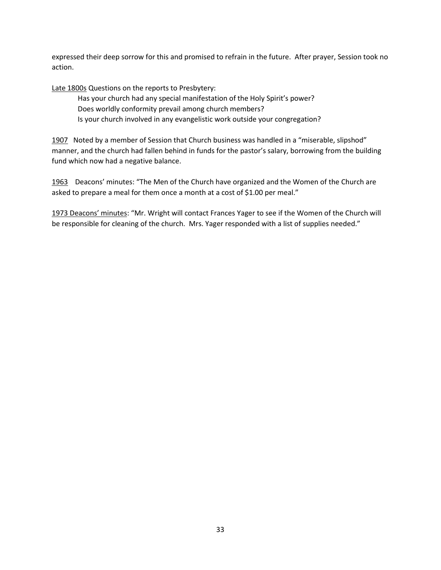expressed their deep sorrow for this and promised to refrain in the future. After prayer, Session took no action.

Late 1800s Questions on the reports to Presbytery:

Has your church had any special manifestation of the Holy Spirit's power? Does worldly conformity prevail among church members? Is your church involved in any evangelistic work outside your congregation?

1907 Noted by a member of Session that Church business was handled in a "miserable, slipshod" manner, and the church had fallen behind in funds for the pastor's salary, borrowing from the building fund which now had a negative balance.

1963 Deacons' minutes: "The Men of the Church have organized and the Women of the Church are asked to prepare a meal for them once a month at a cost of \$1.00 per meal."

1973 Deacons' minutes: "Mr. Wright will contact Frances Yager to see if the Women of the Church will be responsible for cleaning of the church. Mrs. Yager responded with a list of supplies needed."